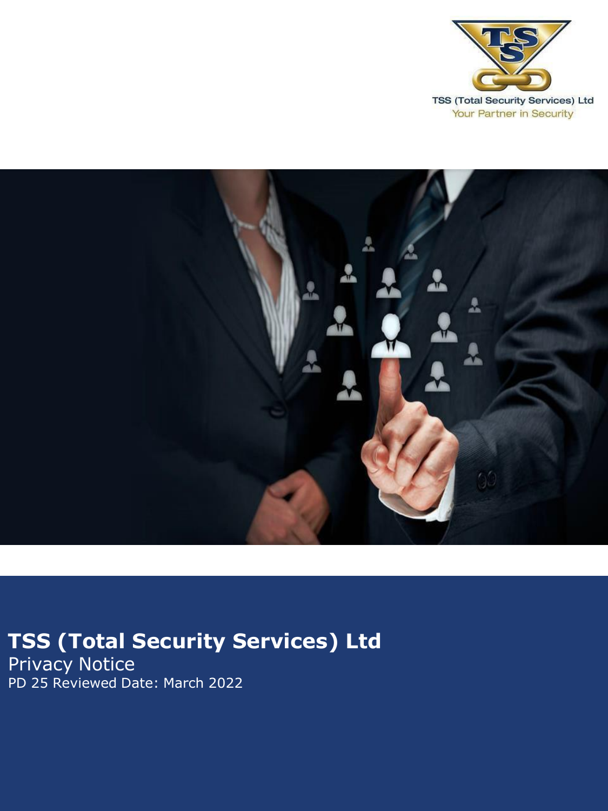



# **TSS (Total Security Services) Ltd**

Privacy Notice PD 25 Reviewed Date: March 2022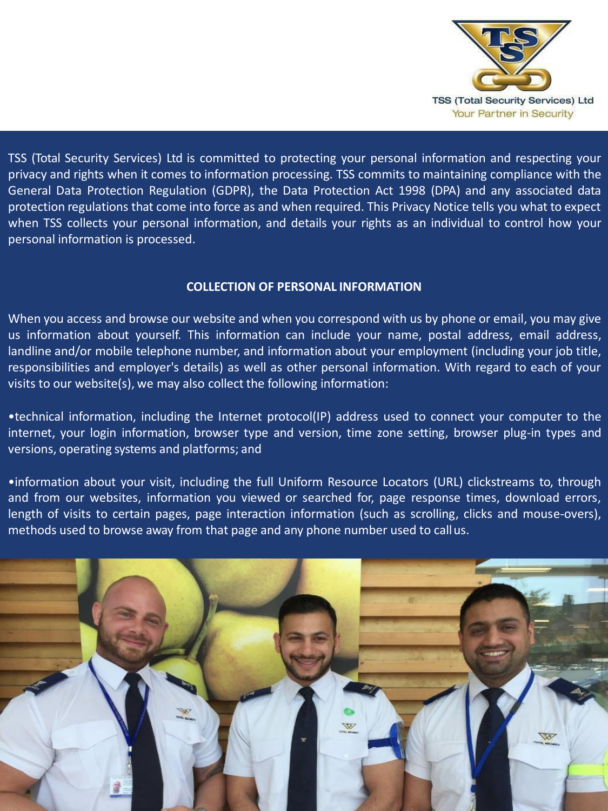

TSS (Total Security Services) Ltd is committed to protecting your personal information and respecting your privacy and rights when it comes to information processing. TSS commits to maintaining compliance with the General Data Protection Regulation (GDPR), the Data Protection Act 1998 (DPA) and any associated data protection regulations that come into force as and when required. This Privacy Notice tells you what to expect when TSS collects your personal information, and details your rights as an individual to control how your personal information is processed.

#### **COLLECTION OF PERSONAL INFORMATION**

When you access and browse our website and when you correspond with us by phone or email, you may give us information about yourself. This information can include your name, postal address, email address, landline and/or mobile telephone number, and information about your employment (including your job title, responsibilities and employer's details) as well as other personal information. With regard to each of your visits to our website(s), we may also collect the following information:

•technical information, including the Internet protocol(IP) address used to connect your computer to the internet, your login information, browser type and version, time zone setting, browser plug-in types and versions, operating systems and platforms; and

•information about your visit, including the full Uniform Resource Locators (URL) clickstreams to, through and from our websites, information you viewed or searched for, page response times, download errors, length of visits to certain pages, page interaction information (such as scrolling, clicks and mouse-overs), methods used to browse away from that page and any phone number used to callus.

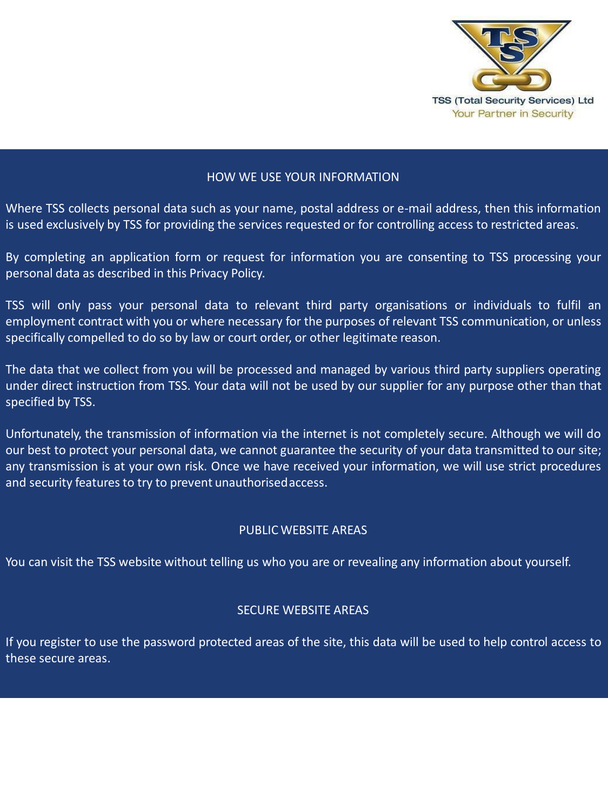

#### HOW WE USE YOUR INFORMATION

Where TSS collects personal data such as your name, postal address or e-mail address, then this information is used exclusively by TSS for providing the services requested or for controlling access to restricted areas.

By completing an application form or request for information you are consenting to TSS processing your personal data as described in this Privacy Policy.

TSS will only pass your personal data to relevant third party organisations or individuals to fulfil an employment contract with you or where necessary for the purposes of relevant TSS communication, or unless specifically compelled to do so by law or court order, or other legitimate reason.

The data that we collect from you will be processed and managed by various third party suppliers operating under direct instruction from TSS. Your data will not be used by our supplier for any purpose other than that specified by TSS.

Unfortunately, the transmission of information via the internet is not completely secure. Although we will do our best to protect your personal data, we cannot guarantee the security of your data transmitted to our site; any transmission is at your own risk. Once we have received your information, we will use strict procedures and security features to try to prevent unauthorised access.

## PUBLIC WEBSITE AREAS

You can visit the TSS website without telling us who you are or revealing any information about yourself.

## SECURE WEBSITE AREAS

If you register to use the password protected areas of the site, this data will be used to help control access to these secure areas.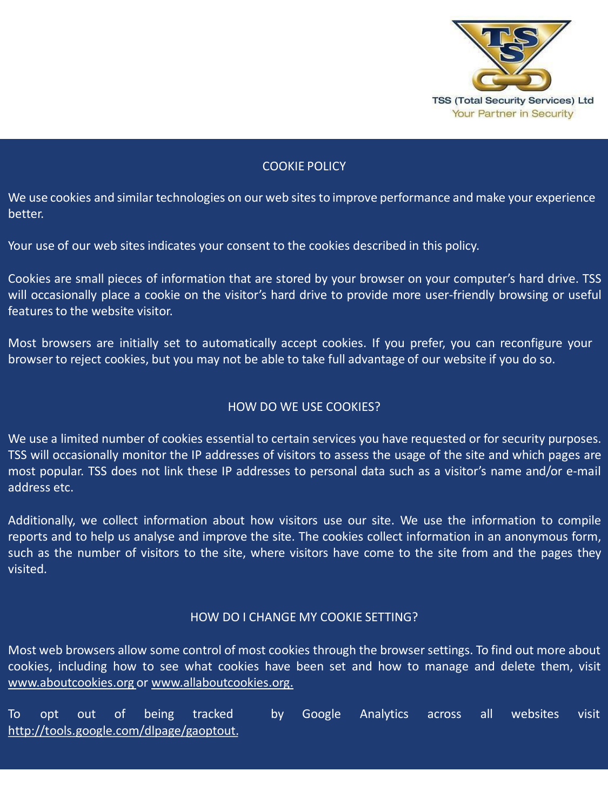

## COOKIE POLICY

We use cookies and similar technologies on our web sites to improve performance and make your experience better.

Your use of our web sites indicates your consent to the cookies described in this policy.

Cookies are small pieces of information that are stored by your browser on your computer's hard drive. TSS will occasionally place a cookie on the visitor's hard drive to provide more user-friendly browsing or useful featuresto the website visitor.

Most browsers are initially set to automatically accept cookies. If you prefer, you can reconfigure your browser to reject cookies, but you may not be able to take full advantage of our website if you do so.

## HOW DO WE USE COOKIES?

We use a limited number of cookies essential to certain services you have requested or for security purposes. TSS will occasionally monitor the IP addresses of visitors to assess the usage of the site and which pages are most popular. TSS does not link these IP addresses to personal data such as a visitor's name and/or e-mail address etc.

Additionally, we collect information about how visitors use our site. We use the information to compile reports and to help us analyse and improve the site. The cookies collect information in an anonymous form, such as the number of visitors to the site, where visitors have come to the site from and the pages they visited.

#### HOW DO I CHANGE MY COOKIE SETTING?

Most web browsers allow some control of most cookies through the browser settings. To find out more about cookies, including how to see what cookies have been set and how to manage and delete them, visit [www.aboutcookies.org](http://www.aboutcookies.org/) or [www.allaboutcookies.org.](http://www.allaboutcookies.org/)

To opt out of being tracked by Google Analytics across all websites visit [http://tools.google.com/dlpage/gaoptout.](http://tools.google.com/dlpage/gaoptout)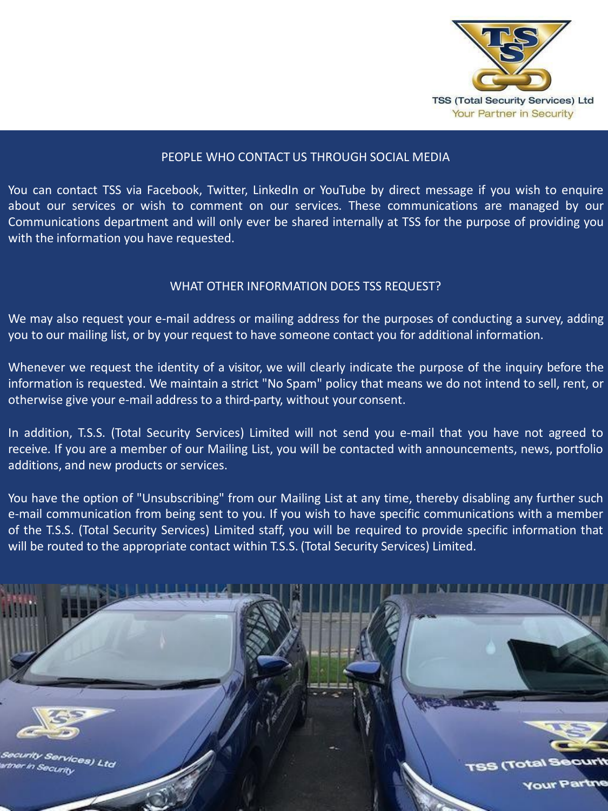

#### PEOPLE WHO CONTACT US THROUGH SOCIAL MEDIA

You can contact TSS via Facebook, Twitter, LinkedIn or YouTube by direct message if you wish to enquire about our services or wish to comment on our services. These communications are managed by our Communications department and will only ever be shared internally at TSS for the purpose of providing you with the information you have requested.

#### WHAT OTHER INFORMATION DOES TSS REQUEST?

We may also request your e-mail address or mailing address for the purposes of conducting a survey, adding you to our mailing list, or by your request to have someone contact you for additional information.

Whenever we request the identity of a visitor, we will clearly indicate the purpose of the inquiry before the information is requested. We maintain a strict "No Spam" policy that means we do not intend to sell, rent, or otherwise give your e-mail address to a third-party, without your consent.

In addition, T.S.S. (Total Security Services) Limited will not send you e-mail that you have not agreed to receive. If you are a member of our Mailing List, you will be contacted with announcements, news, portfolio additions, and new products or services.

You have the option of "Unsubscribing" from our Mailing List at any time, thereby disabling any further such e-mail communication from being sent to you. If you wish to have specific communications with a member of the T.S.S. (Total Security Services) Limited staff, you will be required to provide specific information that will be routed to the appropriate contact within T.S.S. (Total Security Services) Limited.

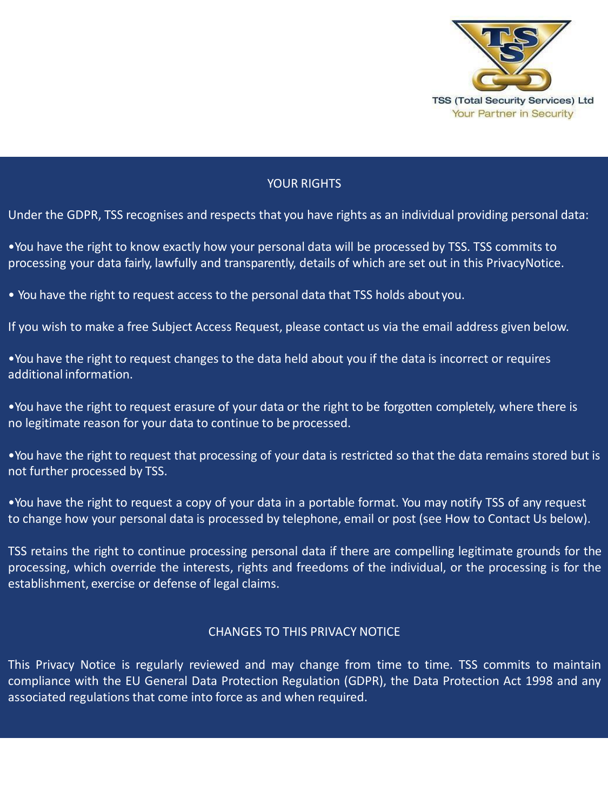

## YOUR RIGHTS

Under the GDPR, TSS recognises and respects that you have rights as an individual providing personal data:

•You have the right to know exactly how your personal data will be processed by TSS. TSS commits to processing your data fairly, lawfully and transparently, details of which are set out in this PrivacyNotice.

• You have the right to request access to the personal data that TSS holds aboutyou.

If you wish to make a free Subject Access Request, please contact us via the email address given below.

•You have the right to request changes to the data held about you if the data is incorrect or requires additional information.

•You have the right to request erasure of your data or the right to be forgotten completely, where there is no legitimate reason for your data to continue to be processed.

•You have the right to request that processing of your data is restricted so that the data remains stored but is not further processed by TSS.

•You have the right to request a copy of your data in a portable format. You may notify TSS of any request to change how your personal data is processed by telephone, email or post (see How to Contact Us below).

TSS retains the right to continue processing personal data if there are compelling legitimate grounds for the processing, which override the interests, rights and freedoms of the individual, or the processing is for the establishment, exercise or defense of legal claims.

## CHANGES TO THIS PRIVACY NOTICE

This Privacy Notice is regularly reviewed and may change from time to time. TSS commits to maintain compliance with the EU General Data Protection Regulation (GDPR), the Data Protection Act 1998 and any associated regulations that come into force as and when required.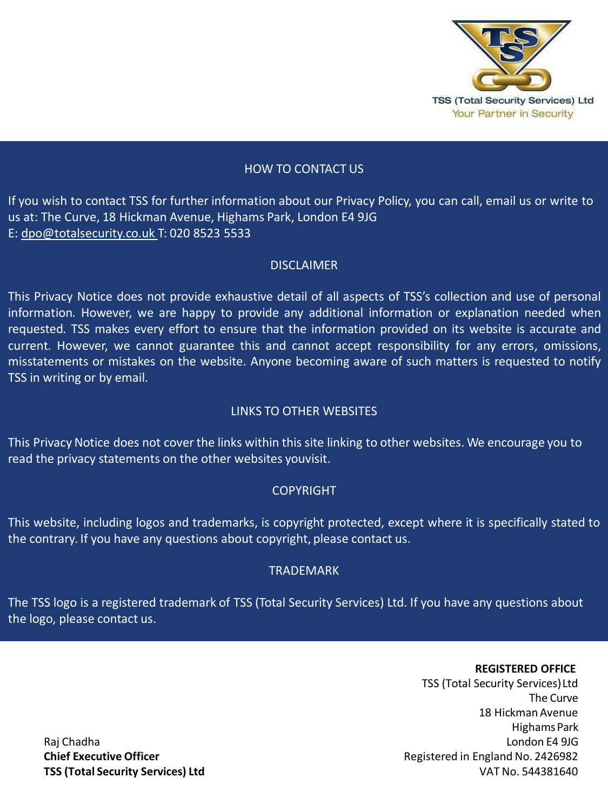

#### HOW TO CONTACT US

If you wish to contact TSS for further information about our Privacy Policy, you can call, email us or write to us at: The Curve, 18 Hickman Avenue, Highams Park, London E4 9JG E: [dpo@totalsecurity.co.uk](mailto:dpo@totalsecurity.co.uk) T: 020 8523 5533

#### **DISCLAIMER**

This Privacy Notice does not provide exhaustive detail of all aspects of TSS's collection and use of personal information. However, we are happy to provide any additional information or explanation needed when requested. TSS makes every effort to ensure that the information provided on its website is accurate and current. However, we cannot guarantee this and cannot accept responsibility for any errors, omissions, misstatements or mistakes on the website. Anyone becoming aware of such matters is requested to notify TSS in writing or by email.

#### LINKS TO OTHER WEBSITES

This Privacy Notice does not cover the links within this site linking to other websites. We encourage you to read the privacy statements on the other websites youvisit.

## COPYRIGHT

This website, including logos and trademarks, is copyright protected, except where it is specifically stated to the contrary. If you have any questions about copyright, please contact us.

#### **TRADEMARK**

The TSS logo is a registered trademark of TSS (Total Security Services) Ltd. If you have any questions about the logo, please contact us.

> **REGISTERED OFFICE** TSS (Total Security Services)Ltd The Curve 18 Hickman Avenue HighamsPark London E4 9JG Registered in England No. 2426982 VAT No. 544381640

Raj Chadha **Chief Executive Officer TSS (Total Security Services) Ltd**